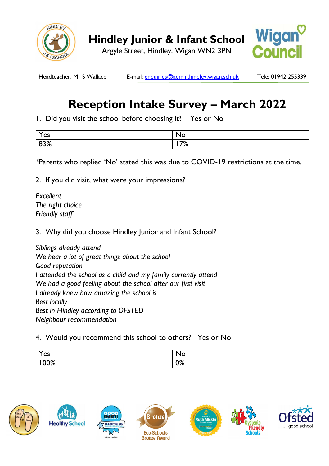

Argyle Street, Hindley, Wigan WN2 3PN



Headteacher: Mr S Wallace E-mail: enquiries@admin.hindley.wigan.sch.uk Tele: 01942 255339

## **Reception Intake Survey – March 2022**

1. Did you visit the school before choosing it? Yes or No

| $\checkmark$<br>$\sim$<br>55 | N<br>NO   |
|------------------------------|-----------|
| $\sim$ $\sim$ $\sim$<br>ס/ נ | 70/<br>70 |

\*Parents who replied 'No' stated this was due to COVID-19 restrictions at the time.

2. If you did visit, what were your impressions?

*Excellent The right choice Friendly staff* 

3. Why did you choose Hindley Junior and Infant School?

*Siblings already attend We hear a lot of great things about the school Good reputation I attended the school as a child and my family currently attend We had a good feeling about the school after our first visit I already knew how amazing the school is Best locally Best in Hindley according to OFSTED Neighbour recommendation* 

4. Would you recommend this school to others? Yes or No

| $\boldsymbol{\mathcal{U}}$<br>es         | ◥◡     |
|------------------------------------------|--------|
| $\Lambda$ <sup><math>\alpha</math></sup> | $\sim$ |
| /V/0                                     | V      |